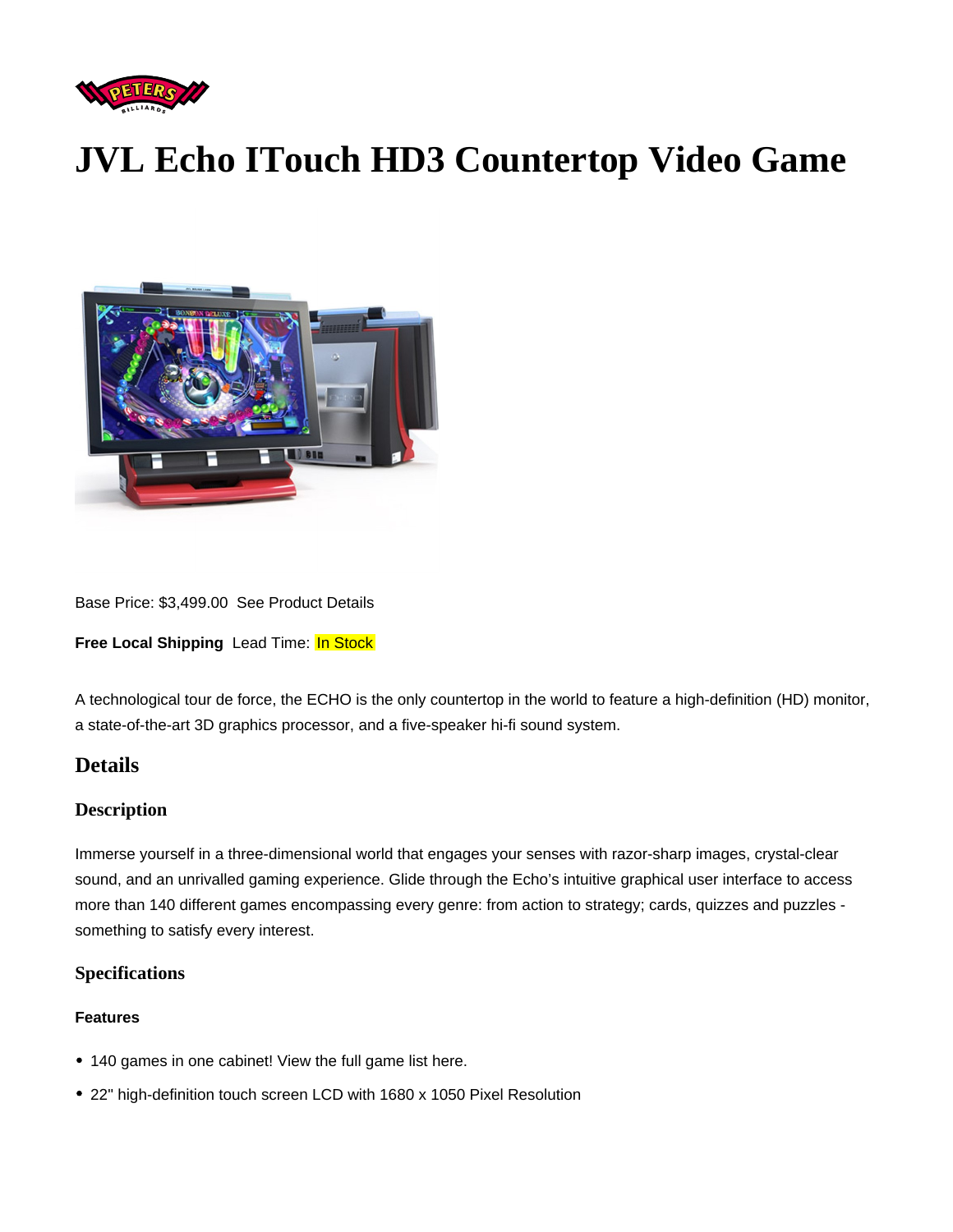# JVL Echo ITouch HD3 Countertop Video Game

Base Price: \$3,499.00 See Product Details

Free Local Shipping Lead Time: In Stock

A technological tour de force, the ECHO is the only countertop in the world to feature a high-definition (HD) monitor, a state-of-the-art 3D graphics processor, and a five-speaker hi-fi sound system.

## **Details**

## **Description**

Immerse yourself in a three-dimensional world that engages your senses with razor-sharp images, crystal-clear sound, and an unrivalled gaming experience. Glide through the Echo's intuitive graphical user interface to access more than 140 different games encompassing every genre: from action to strategy; cards, quizzes and puzzles something to satisfy every interest.

## **Specifications**

## Features

- 140 games in one cabinet! [View the full game list here.](https://www.petersbilliards.com/jvl-echo-game-list/)
- 22" high-definition touch screen LCD with 1680 x 1050 Pixel Resolution